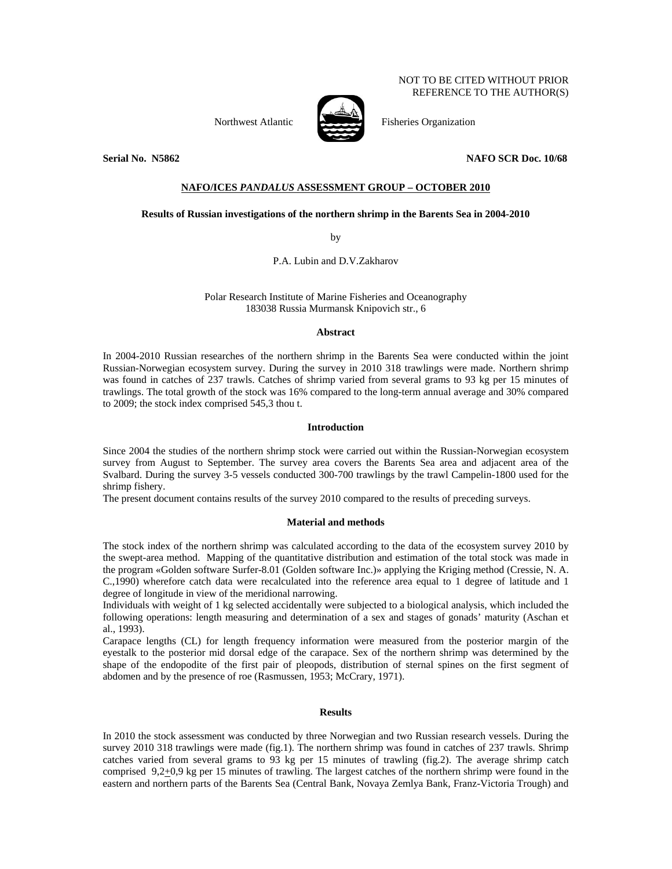NOT TO BE CITED WITHOUT PRIOR REFERENCE TO THE AUTHOR(S)

Northwest Atlantic Fisheries Organization



**Serial No. N5862 NAFO SCR Doc. 10/68** 

# **NAFO/ICES** *PANDALUS* **ASSESSMENT GROUP – OCTOBER 2010**

## **Results of Russian investigations of the northern shrimp in the Barents Sea in 2004-2010**

by

P.A. Lubin and D.V.Zakharov

Polar Research Institute of Marine Fisheries and Oceanography 183038 Russia Murmansk Knipovich str., 6

## **Abstract**

In 2004-2010 Russian researches of the northern shrimp in the Barents Sea were conducted within the joint Russian-Norwegian ecosystem survey. During the survey in 2010 318 trawlings were made. Northern shrimp was found in catches of 237 trawls. Catches of shrimp varied from several grams to 93 kg per 15 minutes of trawlings. The total growth of the stock was 16% compared to the long-term annual average and 30% compared to 2009; the stock index comprised 545,3 thou t.

## **Introduction**

Since 2004 the studies of the northern shrimp stock were carried out within the Russian-Norwegian ecosystem survey from August to September. The survey area covers the Barents Sea area and adjacent area of the Svalbard. During the survey 3-5 vessels conducted 300-700 trawlings by the trawl Campelin-1800 used for the shrimp fishery.

The present document contains results of the survey 2010 compared to the results of preceding surveys.

#### **Material and methods**

The stock index of the northern shrimp was calculated according to the data of the ecosystem survey 2010 by the swept-area method. Mapping of the quantitative distribution and estimation of the total stock was made in the program «Golden software Surfer-8.01 (Golden software Inc.)» applying the Kriging method (Cressie, N. A. C.,1990) wherefore catch data were recalculated into the reference area equal to 1 degree of latitude and 1 degree of longitude in view of the meridional narrowing.

Individuals with weight of 1 kg selected accidentally were subjected to a biological analysis, which included the following operations: length measuring and determination of a sex and stages of gonads' maturity (Aschan et al., 1993).

Carapace lengths (CL) for length frequency information were measured from the posterior margin of the eyestalk to the posterior mid dorsal edge of the carapace. Sex of the northern shrimp was determined by the shape of the endopodite of the first pair of pleopods, distribution of sternal spines on the first segment of abdomen and by the presence of roe (Rasmussen, 1953; McCrary, 1971).

#### **Results**

In 2010 the stock assessment was conducted by three Norwegian and two Russian research vessels. During the survey 2010 318 trawlings were made (fig.1). The northern shrimp was found in catches of 237 trawls. Shrimp catches varied from several grams to 93 kg per 15 minutes of trawling (fig.2). The average shrimp catch comprised  $9,2\pm0,9$  kg per 15 minutes of trawling. The largest catches of the northern shrimp were found in the eastern and northern parts of the Barents Sea (Central Bank, Novaya Zemlya Bank, Franz-Victoria Trough) and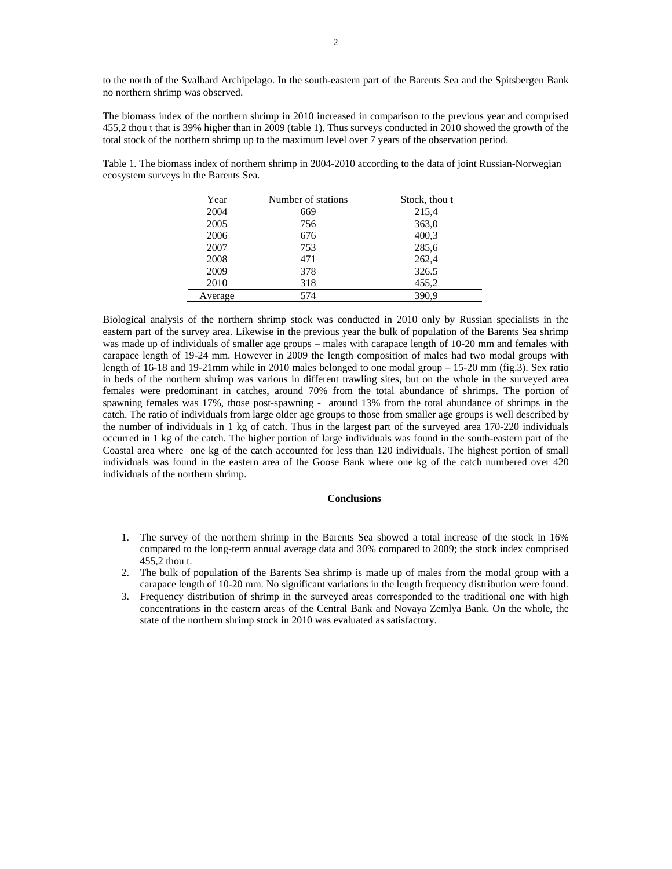to the north of the Svalbard Archipelago. In the south-eastern part of the Barents Sea and the Spitsbergen Bank no northern shrimp was observed.

The biomass index of the northern shrimp in 2010 increased in comparison to the previous year and comprised 455,2 thou t that is 39% higher than in 2009 (table 1). Thus surveys conducted in 2010 showed the growth of the total stock of the northern shrimp up to the maximum level over 7 years of the observation period.

Table 1. The biomass index of northern shrimp in 2004-2010 according to the data of joint Russian-Norwegian ecosystem surveys in the Barents Sea.

| Year    | Number of stations | Stock, thou t |
|---------|--------------------|---------------|
| 2004    | 669                | 215,4         |
| 2005    | 756                | 363,0         |
| 2006    | 676                | 400,3         |
| 2007    | 753                | 285,6         |
| 2008    | 471                | 262,4         |
| 2009    | 378                | 326.5         |
| 2010    | 318                | 455,2         |
| Average | 574                | 390.9         |

Biological analysis of the northern shrimp stock was conducted in 2010 only by Russian specialists in the eastern part of the survey area. Likewise in the previous year the bulk of population of the Barents Sea shrimp was made up of individuals of smaller age groups – males with carapace length of 10-20 mm and females with carapace length of 19-24 mm. However in 2009 the length composition of males had two modal groups with length of 16-18 and 19-21mm while in 2010 males belonged to one modal group – 15-20 mm (fig.3). Sex ratio in beds of the northern shrimp was various in different trawling sites, but on the whole in the surveyed area females were predominant in catches, around 70% from the total abundance of shrimps. The portion of spawning females was 17%, those post-spawning - around 13% from the total abundance of shrimps in the catch. The ratio of individuals from large older age groups to those from smaller age groups is well described by the number of individuals in 1 kg of catch. Thus in the largest part of the surveyed area 170-220 individuals occurred in 1 kg of the catch. The higher portion of large individuals was found in the south-eastern part of the Coastal area where one kg of the catch accounted for less than 120 individuals. The highest portion of small individuals was found in the eastern area of the Goose Bank where one kg of the catch numbered over 420 individuals of the northern shrimp.

## **Conclusions**

- 1. The survey of the northern shrimp in the Barents Sea showed a total increase of the stock in 16% compared to the long-term annual average data and 30% compared to 2009; the stock index comprised 455,2 thou t.
- 2. The bulk of population of the Barents Sea shrimp is made up of males from the modal group with a carapace length of 10-20 mm. No significant variations in the length frequency distribution were found.
- 3. Frequency distribution of shrimp in the surveyed areas corresponded to the traditional one with high concentrations in the eastern areas of the Central Bank and Novaya Zemlya Bank. On the whole, the state of the northern shrimp stock in 2010 was evaluated as satisfactory.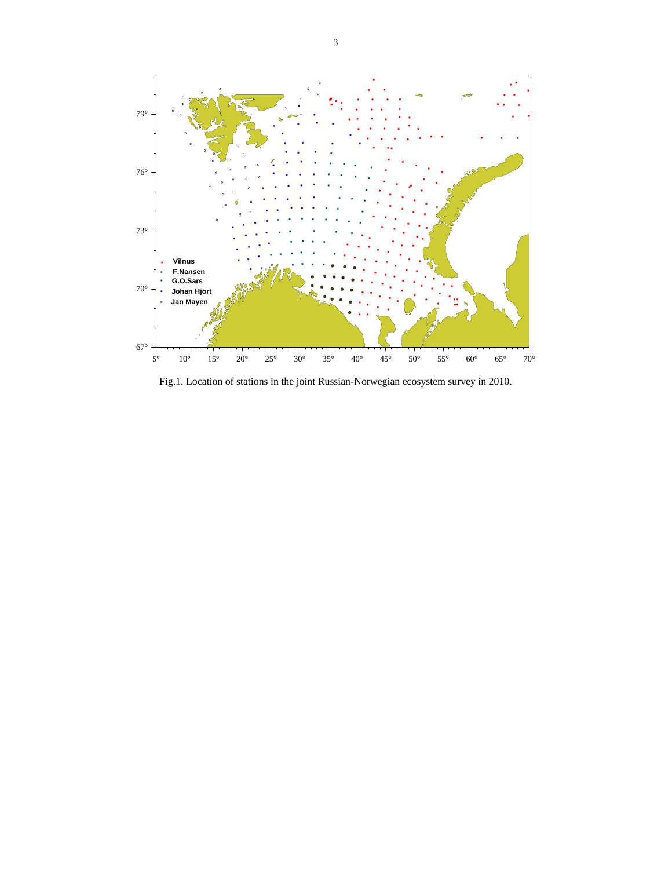

Fig.1. Location of stations in the joint Russian-Norwegian ecosystem survey in 2010.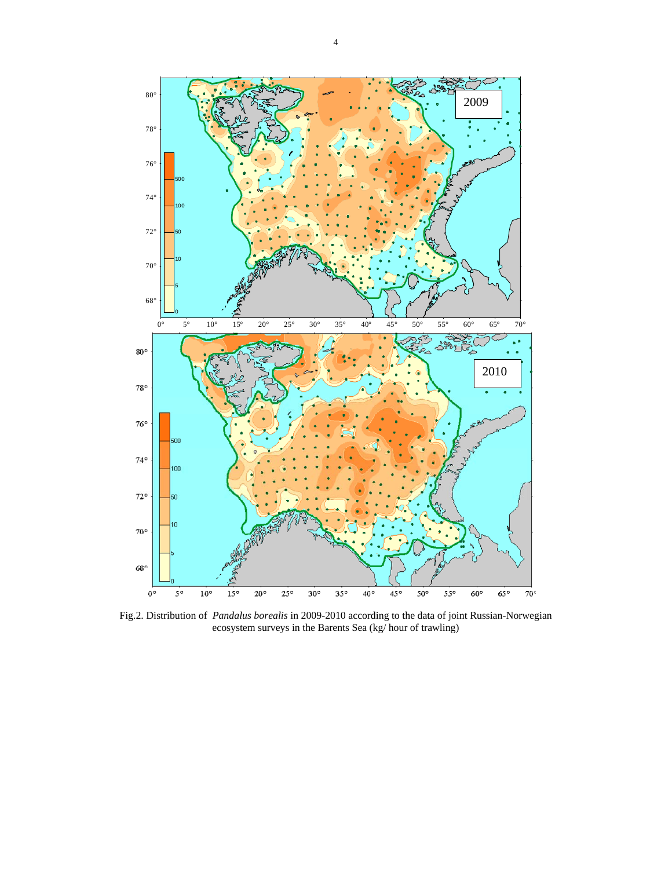

Fig.2. Distribution of *Pandalus borealis* in 2009-2010 according to the data of joint Russian-Norwegian ecosystem surveys in the Barents Sea (kg/ hour of trawling)

 $35°$ 

 $40^{\circ}$ 

 $45^{\rm o}$ 

 $50^{\rm o}$ 

 $55^{\circ}$ 

 $60^{\rm o}$ 

 $65^{\,\mathrm{o}}$ 

 $70<sup>c</sup>$ 

 $30^{\circ}$ 

 $68°$ 

 $0^{\circ}$ 

 $5^{\,\rm o}$ 

 $10^{\circ}$ 

 $15^{\circ}$ 

 $20^{\rm o}$ 

 $25^\circ$